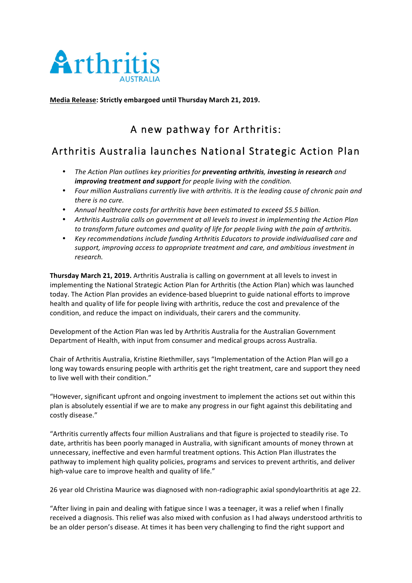

**Media Release: Strictly embargoed until Thursday March 21, 2019.** 

## A new pathway for Arthritis:

## Arthritis Australia launches National Strategic Action Plan

- *The Action Plan outlines key priorities for preventing arthritis, investing in research and improving treatment and support for people living with the condition.*
- Four million Australians currently live with arthritis. It is the leading cause of chronic pain and there *is* no cure.
- Annual healthcare costs for arthritis have been estimated to exceed \$5.5 billion.
- Arthritis Australia calls on government at all levels to invest in implementing the Action Plan *to* transform future outcomes and quality of life for people living with the pain of arthritis.
- Key recommendations include funding Arthritis Educators to provide individualised care and support, improving access to appropriate treatment and care, and ambitious investment in *research.*

**Thursday March 21, 2019.** Arthritis Australia is calling on government at all levels to invest in implementing the National Strategic Action Plan for Arthritis (the Action Plan) which was launched today. The Action Plan provides an evidence-based blueprint to guide national efforts to improve health and quality of life for people living with arthritis, reduce the cost and prevalence of the condition, and reduce the impact on individuals, their carers and the community.

Development of the Action Plan was led by Arthritis Australia for the Australian Government Department of Health, with input from consumer and medical groups across Australia.

Chair of Arthritis Australia, Kristine Riethmiller, says "Implementation of the Action Plan will go a long way towards ensuring people with arthritis get the right treatment, care and support they need to live well with their condition."

"However, significant upfront and ongoing investment to implement the actions set out within this plan is absolutely essential if we are to make any progress in our fight against this debilitating and costly disease."

"Arthritis currently affects four million Australians and that figure is projected to steadily rise. To date, arthritis has been poorly managed in Australia, with significant amounts of money thrown at unnecessary, ineffective and even harmful treatment options. This Action Plan illustrates the pathway to implement high quality policies, programs and services to prevent arthritis, and deliver high-value care to improve health and quality of life."

26 year old Christina Maurice was diagnosed with non-radiographic axial spondyloarthritis at age 22.

"After living in pain and dealing with fatigue since I was a teenager, it was a relief when I finally received a diagnosis. This relief was also mixed with confusion as I had always understood arthritis to be an older person's disease. At times it has been very challenging to find the right support and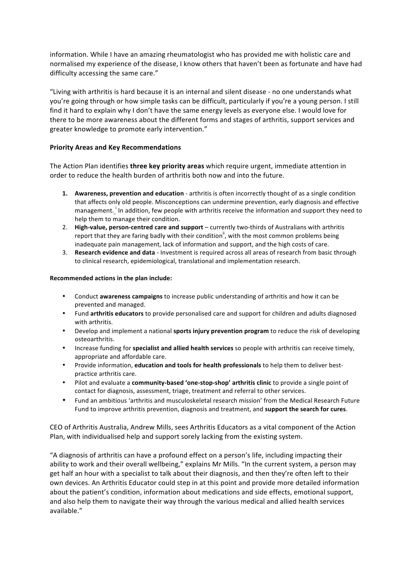information. While I have an amazing rheumatologist who has provided me with holistic care and normalised my experience of the disease, I know others that haven't been as fortunate and have had difficulty accessing the same care."

"Living with arthritis is hard because it is an internal and silent disease - no one understands what you're going through or how simple tasks can be difficult, particularly if you're a young person. I still find it hard to explain why I don't have the same energy levels as everyone else. I would love for there to be more awareness about the different forms and stages of arthritis, support services and greater knowledge to promote early intervention."

## **Priority Areas and Key Recommendations**

The Action Plan identifies **three key priority areas** which require urgent, immediate attention in order to reduce the health burden of arthritis both now and into the future.

- **1.** Awareness, prevention and education arthritis is often incorrectly thought of as a single condition that affects only old people. Misconceptions can undermine prevention, early diagnosis and effective management.  $\frac{1}{2}$  In addition, few people with arthritis receive the information and support they need to help them to manage their condition.
- 2. **High-value, person-centred care and support** currently two-thirds of Australians with arthritis report that they are faring badly with their condition<sup>ii</sup>, with the most common problems being inadequate pain management, lack of information and support, and the high costs of care.
- 3. **Research evidence and data** Investment is required across all areas of research from basic through to clinical research, epidemiological, translational and implementation research.

## **Recommended actions in the plan include:**

- Conduct **awareness campaigns** to increase public understanding of arthritis and how it can be prevented and managed.
- Fund arthritis educators to provide personalised care and support for children and adults diagnosed with arthritis.
- Develop and implement a national **sports injury prevention program** to reduce the risk of developing osteoarthritis.
- Increase funding for **specialist and allied health services** so people with arthritis can receive timely, appropriate and affordable care.
- Provide information, **education and tools for health professionals** to help them to deliver bestpractice arthritis care.
- Pilot and evaluate a **community-based 'one-stop-shop' arthritis clinic** to provide a single point of contact for diagnosis, assessment, triage, treatment and referral to other services.
- Fund an ambitious 'arthritis and musculoskeletal research mission' from the Medical Research Future Fund to improve arthritis prevention, diagnosis and treatment, and **support the search for cures**.

CEO of Arthritis Australia, Andrew Mills, sees Arthritis Educators as a vital component of the Action Plan, with individualised help and support sorely lacking from the existing system.

"A diagnosis of arthritis can have a profound effect on a person's life, including impacting their ability to work and their overall wellbeing," explains Mr Mills. "In the current system, a person may get half an hour with a specialist to talk about their diagnosis, and then they're often left to their own devices. An Arthritis Educator could step in at this point and provide more detailed information about the patient's condition, information about medications and side effects, emotional support, and also help them to navigate their way through the various medical and allied health services available."